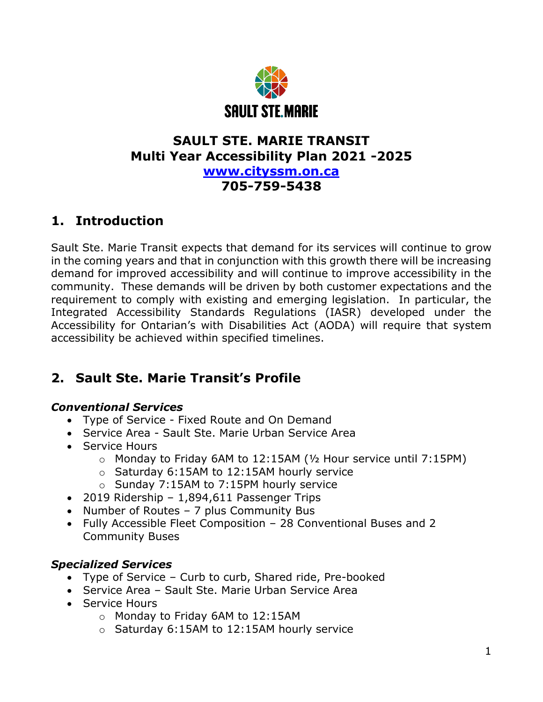

## **SAULT STE. MARIE TRANSIT Multi Year Accessibility Plan 2021 -2025 [www.cityssm.on.ca](http://www.cityssm.on.ca/)**

## **705-759-5438**

## **1. Introduction**

Sault Ste. Marie Transit expects that demand for its services will continue to grow in the coming years and that in conjunction with this growth there will be increasing demand for improved accessibility and will continue to improve accessibility in the community. These demands will be driven by both customer expectations and the requirement to comply with existing and emerging legislation. In particular, the Integrated Accessibility Standards Regulations (IASR) developed under the Accessibility for Ontarian's with Disabilities Act (AODA) will require that system accessibility be achieved within specified timelines.

# **2. Sault Ste. Marie Transit's Profile**

#### *Conventional Services*

- Type of Service Fixed Route and On Demand
- Service Area Sault Ste. Marie Urban Service Area
- Service Hours
	- $\circ$  Monday to Friday 6AM to 12:15AM ( $\frac{1}{2}$  Hour service until 7:15PM)
	- o Saturday 6:15AM to 12:15AM hourly service
	- o Sunday 7:15AM to 7:15PM hourly service
- 2019 Ridership 1,894,611 Passenger Trips
- Number of Routes 7 plus Community Bus
- Fully Accessible Fleet Composition 28 Conventional Buses and 2 Community Buses

### *Specialized Services*

- Type of Service Curb to curb, Shared ride, Pre-booked
- Service Area Sault Ste. Marie Urban Service Area
- Service Hours
	- o Monday to Friday 6AM to 12:15AM
	- o Saturday 6:15AM to 12:15AM hourly service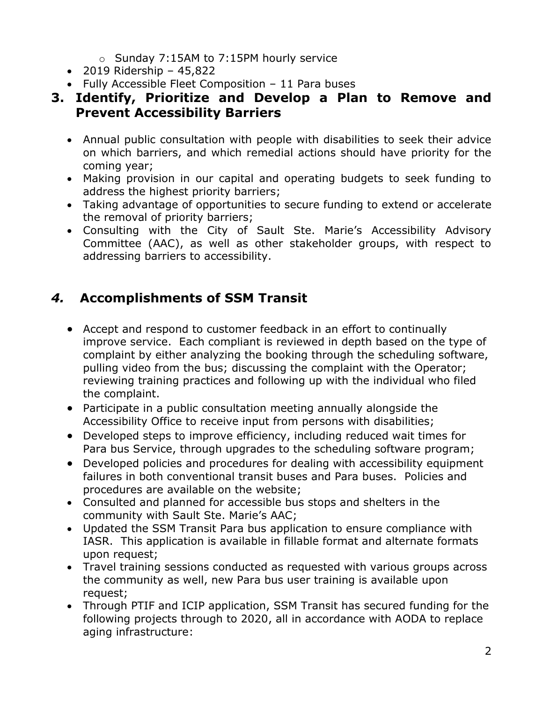- o Sunday 7:15AM to 7:15PM hourly service
- 2019 Ridership 45,822
- Fully Accessible Fleet Composition 11 Para buses
- **3. Identify, Prioritize and Develop a Plan to Remove and Prevent Accessibility Barriers** 
	- Annual public consultation with people with disabilities to seek their advice on which barriers, and which remedial actions should have priority for the coming year;
	- Making provision in our capital and operating budgets to seek funding to address the highest priority barriers;
	- Taking advantage of opportunities to secure funding to extend or accelerate the removal of priority barriers;
	- Consulting with the City of Sault Ste. Marie's Accessibility Advisory Committee (AAC), as well as other stakeholder groups, with respect to addressing barriers to accessibility.

## *4.* **Accomplishments of SSM Transit**

- Accept and respond to customer feedback in an effort to continually improve service. Each compliant is reviewed in depth based on the type of complaint by either analyzing the booking through the scheduling software, pulling video from the bus; discussing the complaint with the Operator; reviewing training practices and following up with the individual who filed the complaint.
- Participate in a public consultation meeting annually alongside the Accessibility Office to receive input from persons with disabilities;
- Developed steps to improve efficiency, including reduced wait times for Para bus Service, through upgrades to the scheduling software program;
- Developed policies and procedures for dealing with accessibility equipment failures in both conventional transit buses and Para buses. Policies and procedures are available on the website;
- Consulted and planned for accessible bus stops and shelters in the community with Sault Ste. Marie's AAC;
- Updated the SSM Transit Para bus application to ensure compliance with IASR. This application is available in fillable format and alternate formats upon request;
- Travel training sessions conducted as requested with various groups across the community as well, new Para bus user training is available upon request;
- Through PTIF and ICIP application, SSM Transit has secured funding for the following projects through to 2020, all in accordance with AODA to replace aging infrastructure: